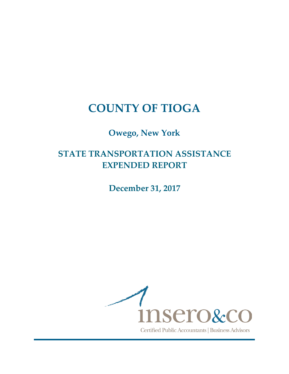### **Owego, New York**

## **STATE TRANSPORTATION ASSISTANCE EXPENDED REPORT**

**December 31, 2017**

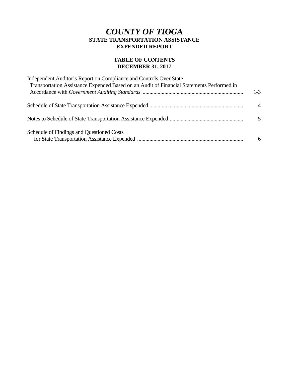### *COUNTY OF TIOGA* **STATE TRANSPORTATION ASSISTANCE EXPENDED REPORT**

### **TABLE OF CONTENTS DECEMBER 31, 2017**

| Independent Auditor's Report on Compliance and Controls Over State<br>Transportation Assistance Expended Based on an Audit of Financial Statements Performed in |                |
|-----------------------------------------------------------------------------------------------------------------------------------------------------------------|----------------|
|                                                                                                                                                                 | $1 - 3$        |
|                                                                                                                                                                 | $\overline{4}$ |
|                                                                                                                                                                 | 5              |
| Schedule of Findings and Questioned Costs                                                                                                                       | 6              |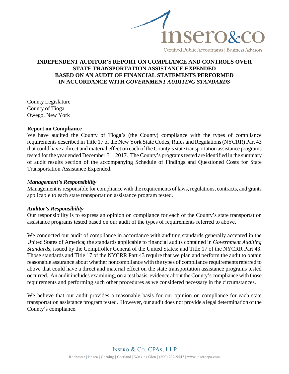

#### Certified Public Accountants | Business Advisors

### **INDEPENDENT AUDITOR'S REPORT ON COMPLIANCE AND CONTROLS OVER STATE TRANSPORTATION ASSISTANCE EXPENDED BASED ON AN AUDIT OF FINANCIAL STATEMENTS PERFORMED IN ACCORDANCE WITH** *GOVERNMENT AUDITING STANDARDS*

County Legislature County of Tioga Owego, New York

#### **Report on Compliance**

We have audited the County of Tioga's (the County) compliance with the types of compliance requirements described in Title 17 of the New York State Codes, Rules and Regulations (NYCRR) Part 43 that could have a direct and material effect on each of the County's state transportation assistance programs tested for the year ended December 31, 2017. The County's programs tested are identified in the summary of audit results section of the accompanying Schedule of Findings and Questioned Costs for State Transportation Assistance Expended.

#### *Management's Responsibility*

Management is responsible for compliance with the requirements of laws, regulations, contracts, and grants applicable to each state transportation assistance program tested.

#### *Auditor's Responsibility*

Our responsibility is to express an opinion on compliance for each of the County's state transportation assistance programs tested based on our audit of the types of requirements referred to above.

We conducted our audit of compliance in accordance with auditing standards generally accepted in the United States of America; the standards applicable to financial audits contained in *Government Auditing Standards*, issued by the Comptroller General of the United States; and Title 17 of the NYCRR Part 43. Those standards and Title 17 of the NYCRR Part 43 require that we plan and perform the audit to obtain reasonable assurance about whether noncompliance with the types of compliance requirements referred to above that could have a direct and material effect on the state transportation assistance programs tested occurred. An audit includes examining, on a test basis, evidence about the County's compliance with those requirements and performing such other procedures as we considered necessary in the circumstances.

We believe that our audit provides a reasonable basis for our opinion on compliance for each state transportation assistance program tested. However, our audit does not provide a legal determination of the County's compliance.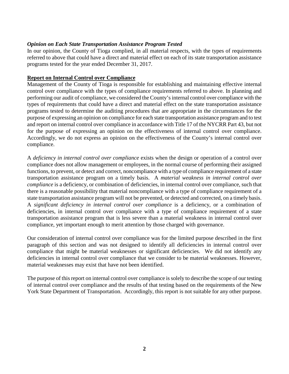### *Opinion on Each State Transportation Assistance Program Tested*

In our opinion, the County of Tioga complied, in all material respects, with the types of requirements referred to above that could have a direct and material effect on each of its state transportation assistance programs tested for the year ended December 31, 2017.

### **Report on Internal Control over Compliance**

Management of the County of Tioga is responsible for establishing and maintaining effective internal control over compliance with the types of compliance requirements referred to above. In planning and performing our audit of compliance, we considered the County's internal control over compliance with the types of requirements that could have a direct and material effect on the state transportation assistance programs tested to determine the auditing procedures that are appropriate in the circumstances for the purpose of expressing an opinion on compliance for each state transportation assistance program and to test and report on internal control over compliance in accordance with Title 17 of the NYCRR Part 43, but not for the purpose of expressing an opinion on the effectiveness of internal control over compliance. Accordingly, we do not express an opinion on the effectiveness of the County's internal control over compliance.

A *deficiency in internal control over compliance* exists when the design or operation of a control over compliance does not allow management or employees, in the normal course of performing their assigned functions, to prevent, or detect and correct, noncompliance with a type of compliance requirement of a state transportation assistance program on a timely basis. A *material weakness in internal control over compliance* is a deficiency, or combination of deficiencies, in internal control over compliance, such that there is a reasonable possibility that material noncompliance with a type of compliance requirement of a state transportation assistance program will not be prevented, or detected and corrected, on a timely basis. A *significant deficiency in internal control over compliance* is a deficiency, or a combination of deficiencies, in internal control over compliance with a type of compliance requirement of a state transportation assistance program that is less severe than a material weakness in internal control over compliance, yet important enough to merit attention by those charged with governance.

Our consideration of internal control over compliance was for the limited purpose described in the first paragraph of this section and was not designed to identify all deficiencies in internal control over compliance that might be material weaknesses or significant deficiencies. We did not identify any deficiencies in internal control over compliance that we consider to be material weaknesses. However, material weaknesses may exist that have not been identified.

The purpose of this report on internal control over compliance is solely to describe the scope of our testing of internal control over compliance and the results of that testing based on the requirements of the New York State Department of Transportation. Accordingly, this report is not suitable for any other purpose.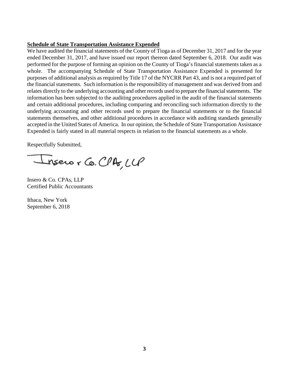### **Schedule of State Transportation Assistance Expended**

We have audited the financial statements of the County of Tioga as of December 31, 2017 and for the year ended December 31, 2017, and have issued our report thereon dated September 6, 2018. Our audit was performed for the purpose of forming an opinion on the County of Tioga's financial statements taken as a whole. The accompanying Schedule of State Transportation Assistance Expended is presented for purposes of additional analysis as required by Title 17 of the NYCRR Part 43, and is not a required part of the financial statements. Such information is the responsibility of management and was derived from and relates directly to the underlying accounting and other records used to prepare the financial statements. The information has been subjected to the auditing procedures applied in the audit of the financial statements and certain additional procedures, including comparing and reconciling such information directly to the underlying accounting and other records used to prepare the financial statements or to the financial statements themselves, and other additional procedures in accordance with auditing standards generally accepted in the United States of America. In our opinion, the Schedule of State Transportation Assistance Expended is fairly stated in all material respects in relation to the financial statements as a whole.

Respectfully Submitted,

nsero r Co. CPA, LLP

Insero & Co. CPAs, LLP Certified Public Accountants

Ithaca, New York September 6, 2018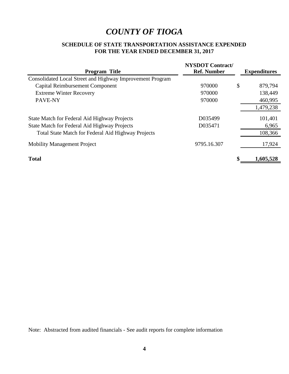### **FOR THE YEAR ENDED DECEMBER 31, 2017 SCHEDULE OF STATE TRANSPORTATION ASSISTANCE EXPENDED**

|                                                           | <b>NYSDOT</b> Contract/ |                     |
|-----------------------------------------------------------|-------------------------|---------------------|
| <b>Program Title</b>                                      | <b>Ref. Number</b>      | <b>Expenditures</b> |
| Consolidated Local Street and Highway Improvement Program |                         |                     |
| <b>Capital Reimbursement Component</b>                    | 970000                  | \$<br>879,794       |
| <b>Extreme Winter Recovery</b>                            | 970000                  | 138,449             |
| PAVE-NY                                                   | 970000                  | 460,995             |
|                                                           |                         | 1,479,238           |
| State Match for Federal Aid Highway Projects              | D035499                 | 101,401             |
| State Match for Federal Aid Highway Projects              | D035471                 | 6,965               |
| <b>Total State Match for Federal Aid Highway Projects</b> |                         | 108,366             |
| <b>Mobility Management Project</b>                        | 9795.16.307             | 17,924              |
| <b>Total</b>                                              |                         | \$<br>1,605,528     |

Note: Abstracted from audited financials - See audit reports for complete information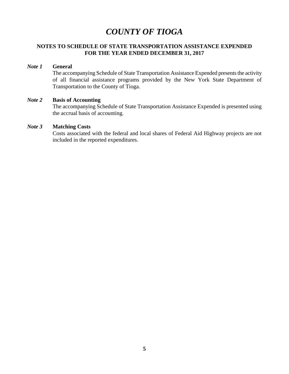### **NOTES TO SCHEDULE OF STATE TRANSPORTATION ASSISTANCE EXPENDED FOR THE YEAR ENDED DECEMBER 31, 2017**

### *Note 1* **General**

The accompanying Schedule of State Transportation Assistance Expended presents the activity of all financial assistance programs provided by the New York State Department of Transportation to the County of Tioga.

### *Note 2* **Basis of Accounting**

The accompanying Schedule of State Transportation Assistance Expended is presented using the accrual basis of accounting.

### *Note 3* **Matching Costs**

Costs associated with the federal and local shares of Federal Aid Highway projects are not included in the reported expenditures.